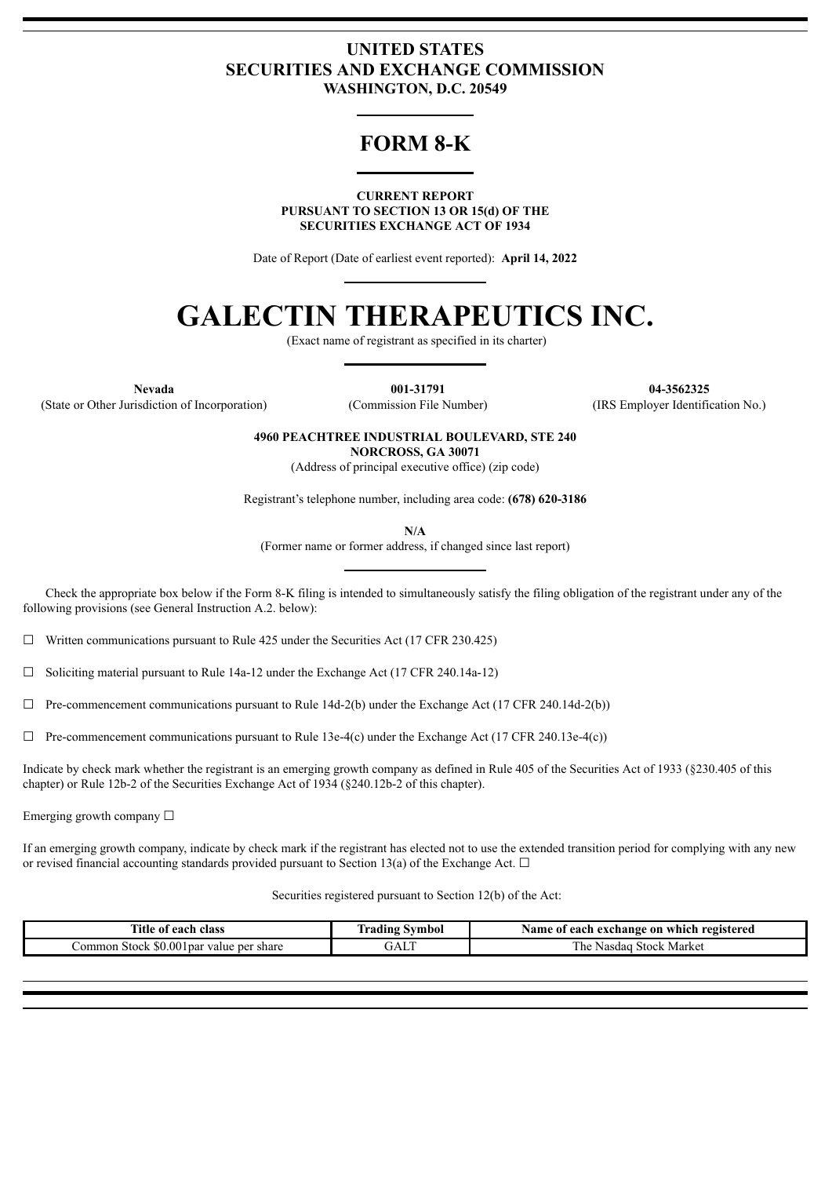# **UNITED STATES SECURITIES AND EXCHANGE COMMISSION WASHINGTON, D.C. 20549**

# **FORM 8-K**

**CURRENT REPORT PURSUANT TO SECTION 13 OR 15(d) OF THE SECURITIES EXCHANGE ACT OF 1934**

Date of Report (Date of earliest event reported): **April 14, 2022**

# **GALECTIN THERAPEUTICS INC.**

(Exact name of registrant as specified in its charter)

**Nevada 001-31791 04-3562325** (State or Other Jurisdiction of Incorporation) (Commission File Number) (IRS Employer Identification No.)

**4960 PEACHTREE INDUSTRIAL BOULEVARD, STE 240**

**NORCROSS, GA 30071**

(Address of principal executive office) (zip code)

Registrant's telephone number, including area code: **(678) 620-3186**

**N/A**

(Former name or former address, if changed since last report)

Check the appropriate box below if the Form 8-K filing is intended to simultaneously satisfy the filing obligation of the registrant under any of the following provisions (see General Instruction A.2. below):

 $\Box$  Written communications pursuant to Rule 425 under the Securities Act (17 CFR 230.425)

☐ Soliciting material pursuant to Rule 14a-12 under the Exchange Act (17 CFR 240.14a-12)

 $\Box$  Pre-commencement communications pursuant to Rule 14d-2(b) under the Exchange Act (17 CFR 240.14d-2(b))

 $\Box$  Pre-commencement communications pursuant to Rule 13e-4(c) under the Exchange Act (17 CFR 240.13e-4(c))

Indicate by check mark whether the registrant is an emerging growth company as defined in Rule 405 of the Securities Act of 1933 (§230.405 of this chapter) or Rule 12b-2 of the Securities Exchange Act of 1934 (§240.12b-2 of this chapter).

Emerging growth company □

If an emerging growth company, indicate by check mark if the registrant has elected not to use the extended transition period for complying with any new or revised financial accounting standards provided pursuant to Section 13(a) of the Exchange Act.  $\Box$ 

Securities registered pursuant to Section 12(b) of the Act:

| $-1$<br>ïtle<br>each<br>: class<br>: ot                           | --<br>Symbol<br>radıng | on<br>registered<br>Name of<br>exchange<br>each `<br>which |
|-------------------------------------------------------------------|------------------------|------------------------------------------------------------|
| \$0.00<br>share<br>l par<br>.ommon<br>value per :<br><b>Stock</b> | $\sim$ $\sim$<br>JAL   | --<br>Market<br>he<br><b>Stock</b><br>Nasdac               |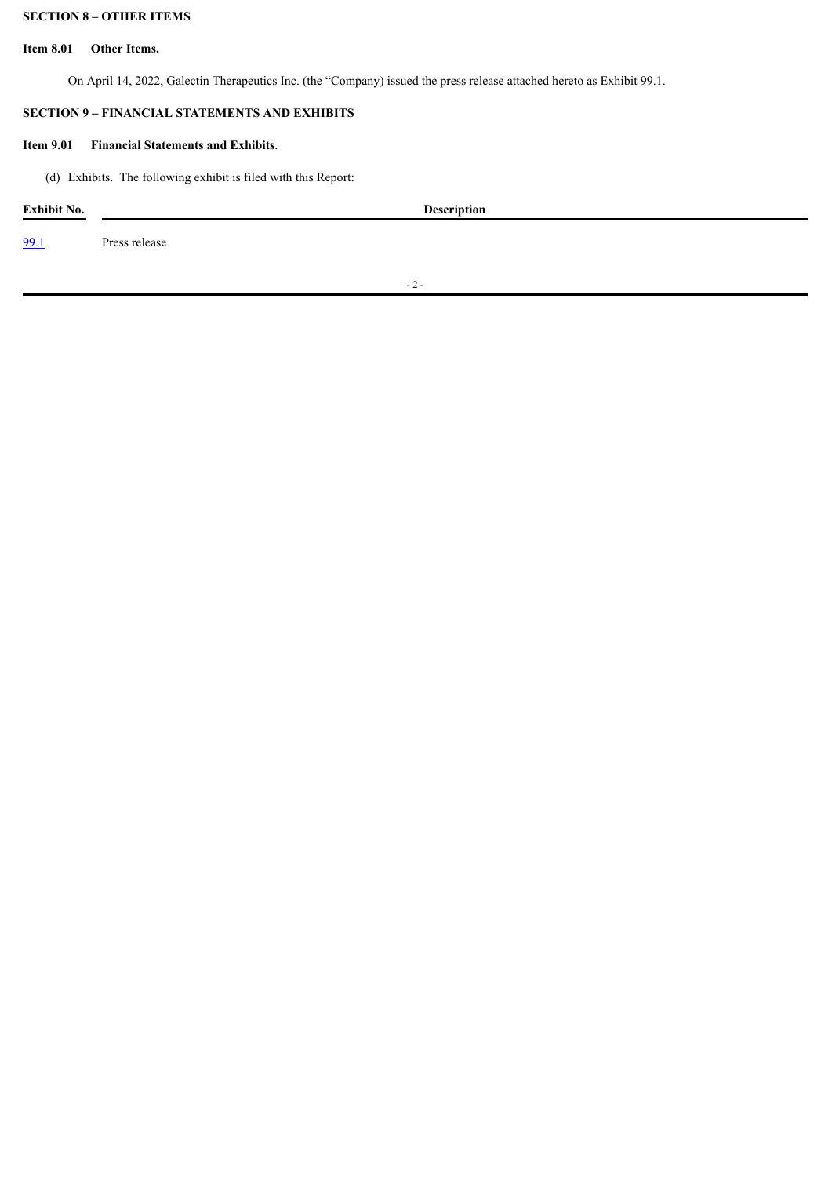# **SECTION 8 – OTHER ITEMS**

#### **Item 8.01 Other Items.**

On April 14, 2022, Galectin Therapeutics Inc. (the "Company) issued the press release attached hereto as Exhibit 99.1.

# **SECTION 9 – FINANCIAL STATEMENTS AND EXHIBITS**

### **Item 9.01 Financial Statements and Exhibits**.

(d) Exhibits. The following exhibit is filed with this Report:

| Exhibit No. |               | <b>Description</b> |  |  |
|-------------|---------------|--------------------|--|--|
| 99.1        | Press release |                    |  |  |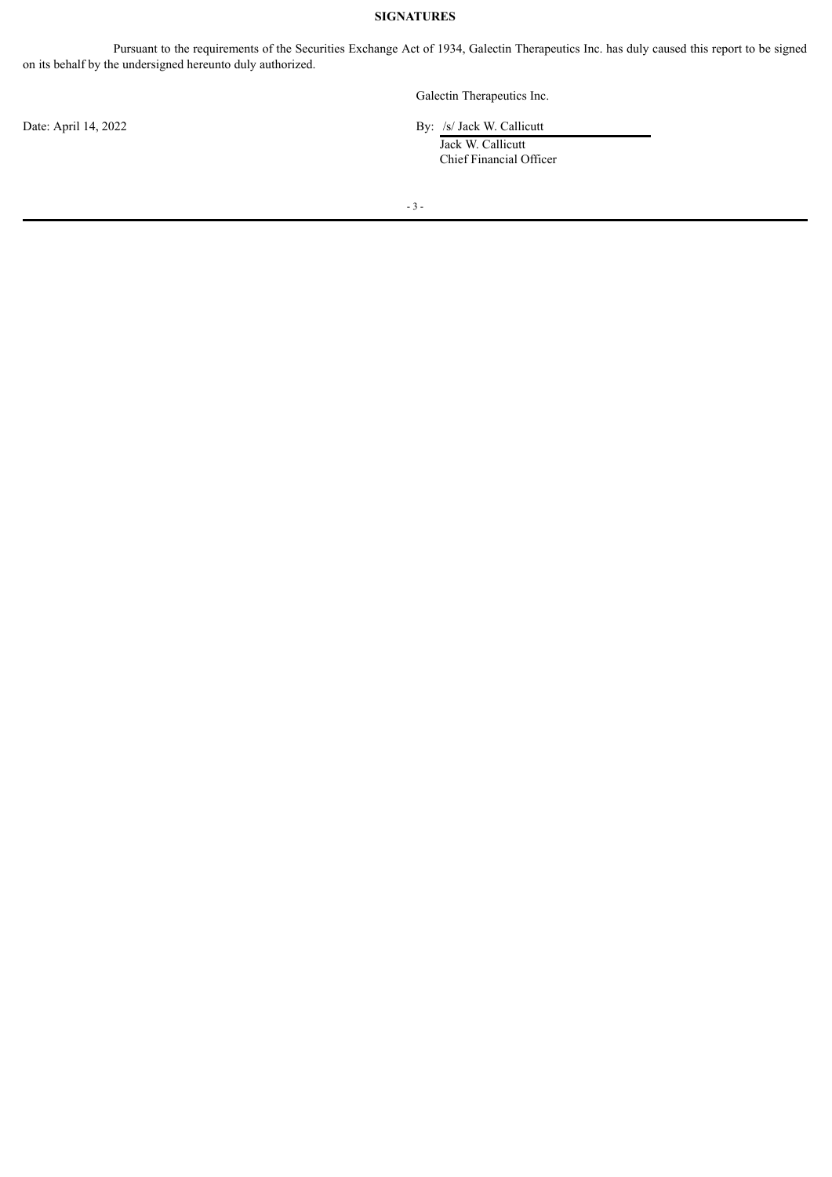# **SIGNATURES**

Pursuant to the requirements of the Securities Exchange Act of 1934, Galectin Therapeutics Inc. has duly caused this report to be signed on its behalf by the undersigned hereunto duly authorized.

Galectin Therapeutics Inc.

Date: April 14, 2022 By: /s/ Jack W. Callicutt

Jack W. Callicutt Chief Financial Officer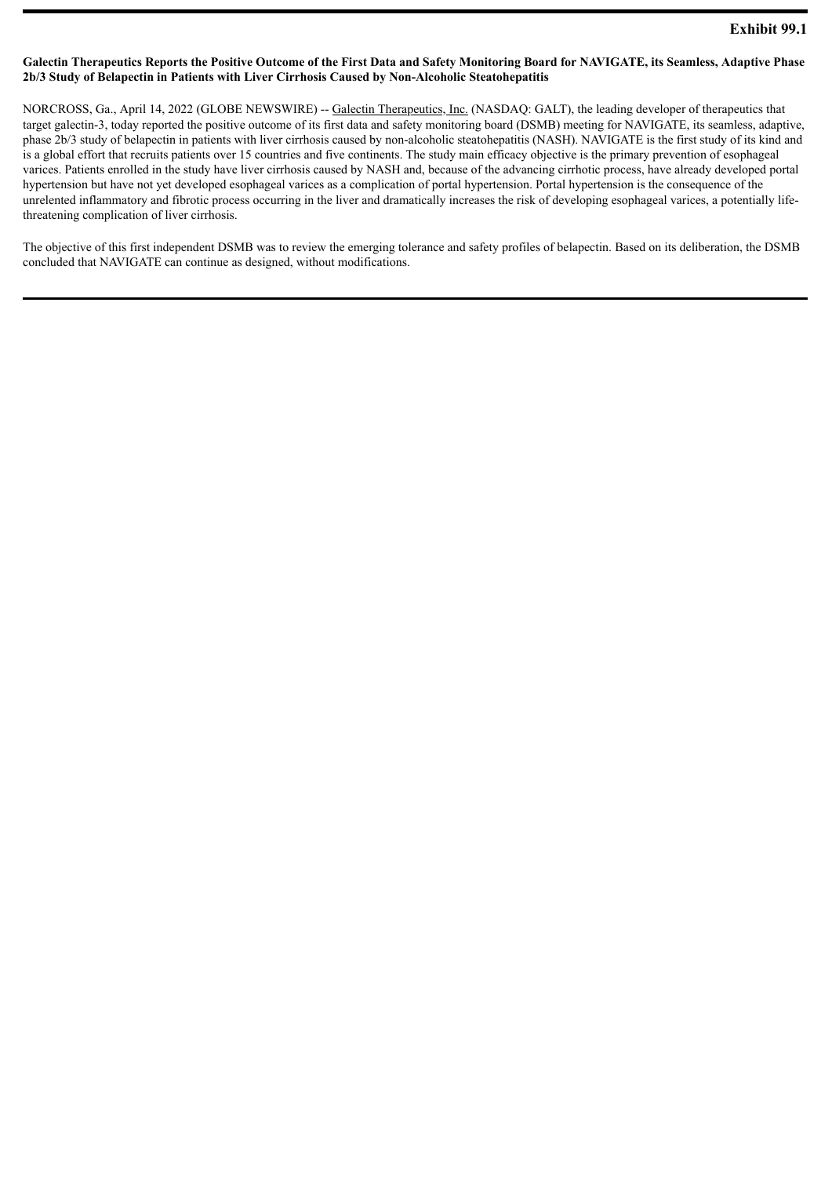#### <span id="page-3-0"></span>Galectin Therapeutics Reports the Positive Outcome of the First Data and Safety Monitoring Board for NAVIGATE, its Seamless, Adaptive Phase **2b/3 Study of Belapectin in Patients with Liver Cirrhosis Caused by Non-Alcoholic Steatohepatitis**

NORCROSS, Ga., April 14, 2022 (GLOBE NEWSWIRE) -- Galectin Therapeutics, Inc. (NASDAQ: GALT), the leading developer of therapeutics that target galectin-3, today reported the positive outcome of its first data and safety monitoring board (DSMB) meeting for NAVIGATE, its seamless, adaptive, phase 2b/3 study of belapectin in patients with liver cirrhosis caused by non-alcoholic steatohepatitis (NASH). NAVIGATE is the first study of its kind and is a global effort that recruits patients over 15 countries and five continents. The study main efficacy objective is the primary prevention of esophageal varices. Patients enrolled in the study have liver cirrhosis caused by NASH and, because of the advancing cirrhotic process, have already developed portal hypertension but have not yet developed esophageal varices as a complication of portal hypertension. Portal hypertension is the consequence of the unrelented inflammatory and fibrotic process occurring in the liver and dramatically increases the risk of developing esophageal varices, a potentially lifethreatening complication of liver cirrhosis.

The objective of this first independent DSMB was to review the emerging tolerance and safety profiles of belapectin. Based on its deliberation, the DSMB concluded that NAVIGATE can continue as designed, without modifications.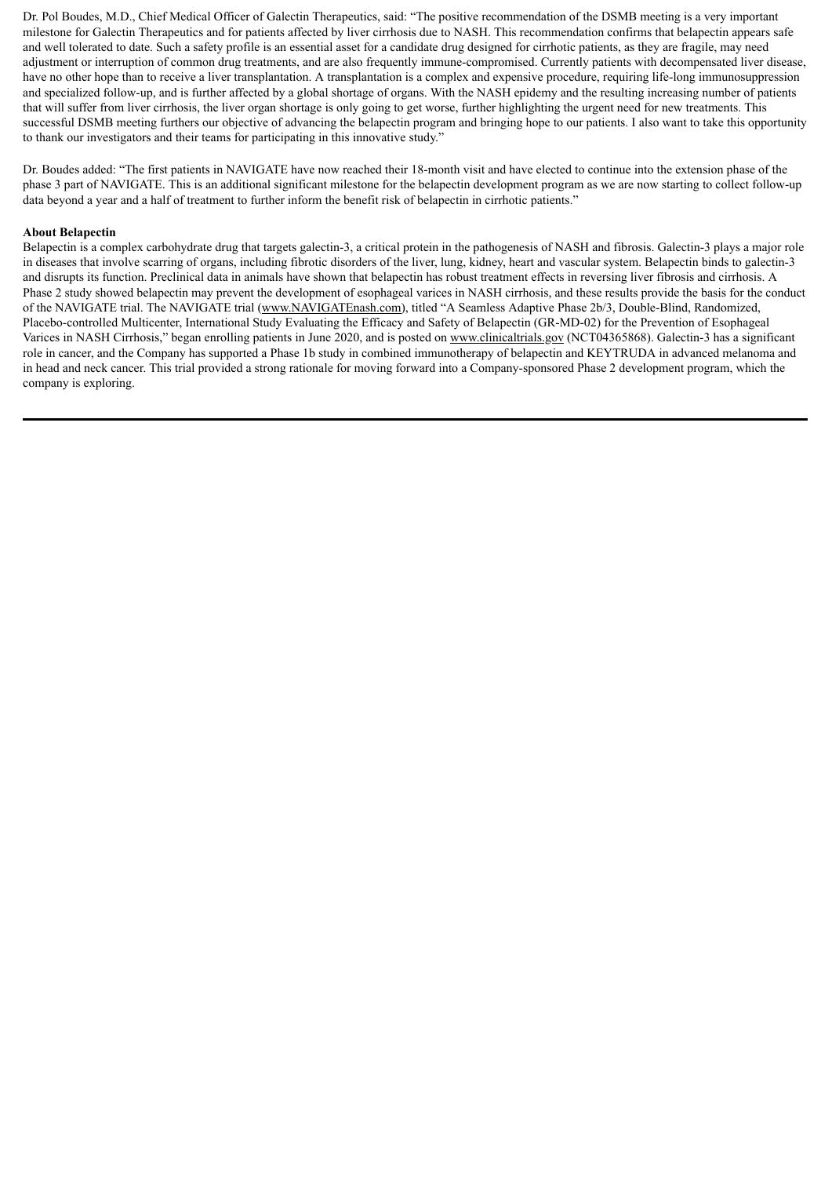Dr. Pol Boudes, M.D., Chief Medical Officer of Galectin Therapeutics, said: "The positive recommendation of the DSMB meeting is a very important milestone for Galectin Therapeutics and for patients affected by liver cirrhosis due to NASH. This recommendation confirms that belapectin appears safe and well tolerated to date. Such a safety profile is an essential asset for a candidate drug designed for cirrhotic patients, as they are fragile, may need adjustment or interruption of common drug treatments, and are also frequently immune-compromised. Currently patients with decompensated liver disease, have no other hope than to receive a liver transplantation. A transplantation is a complex and expensive procedure, requiring life-long immunosuppression and specialized follow-up, and is further affected by a global shortage of organs. With the NASH epidemy and the resulting increasing number of patients that will suffer from liver cirrhosis, the liver organ shortage is only going to get worse, further highlighting the urgent need for new treatments. This successful DSMB meeting furthers our objective of advancing the belapectin program and bringing hope to our patients. I also want to take this opportunity to thank our investigators and their teams for participating in this innovative study."

Dr. Boudes added: "The first patients in NAVIGATE have now reached their 18-month visit and have elected to continue into the extension phase of the phase 3 part of NAVIGATE. This is an additional significant milestone for the belapectin development program as we are now starting to collect follow-up data beyond a year and a half of treatment to further inform the benefit risk of belapectin in cirrhotic patients."

#### **About Belapectin**

Belapectin is a complex carbohydrate drug that targets galectin-3, a critical protein in the pathogenesis of NASH and fibrosis. Galectin-3 plays a major role in diseases that involve scarring of organs, including fibrotic disorders of the liver, lung, kidney, heart and vascular system. Belapectin binds to galectin-3 and disrupts its function. Preclinical data in animals have shown that belapectin has robust treatment effects in reversing liver fibrosis and cirrhosis. A Phase 2 study showed belapectin may prevent the development of esophageal varices in NASH cirrhosis, and these results provide the basis for the conduct of the NAVIGATE trial. The NAVIGATE trial (www.NAVIGATEnash.com), titled "A Seamless Adaptive Phase 2b/3, Double-Blind, Randomized, Placebo-controlled Multicenter, International Study Evaluating the Efficacy and Safety of Belapectin (GR-MD-02) for the Prevention of Esophageal Varices in NASH Cirrhosis," began enrolling patients in June 2020, and is posted on www.clinicaltrials.gov (NCT04365868). Galectin-3 has a significant role in cancer, and the Company has supported a Phase 1b study in combined immunotherapy of belapectin and KEYTRUDA in advanced melanoma and in head and neck cancer. This trial provided a strong rationale for moving forward into a Company-sponsored Phase 2 development program, which the company is exploring.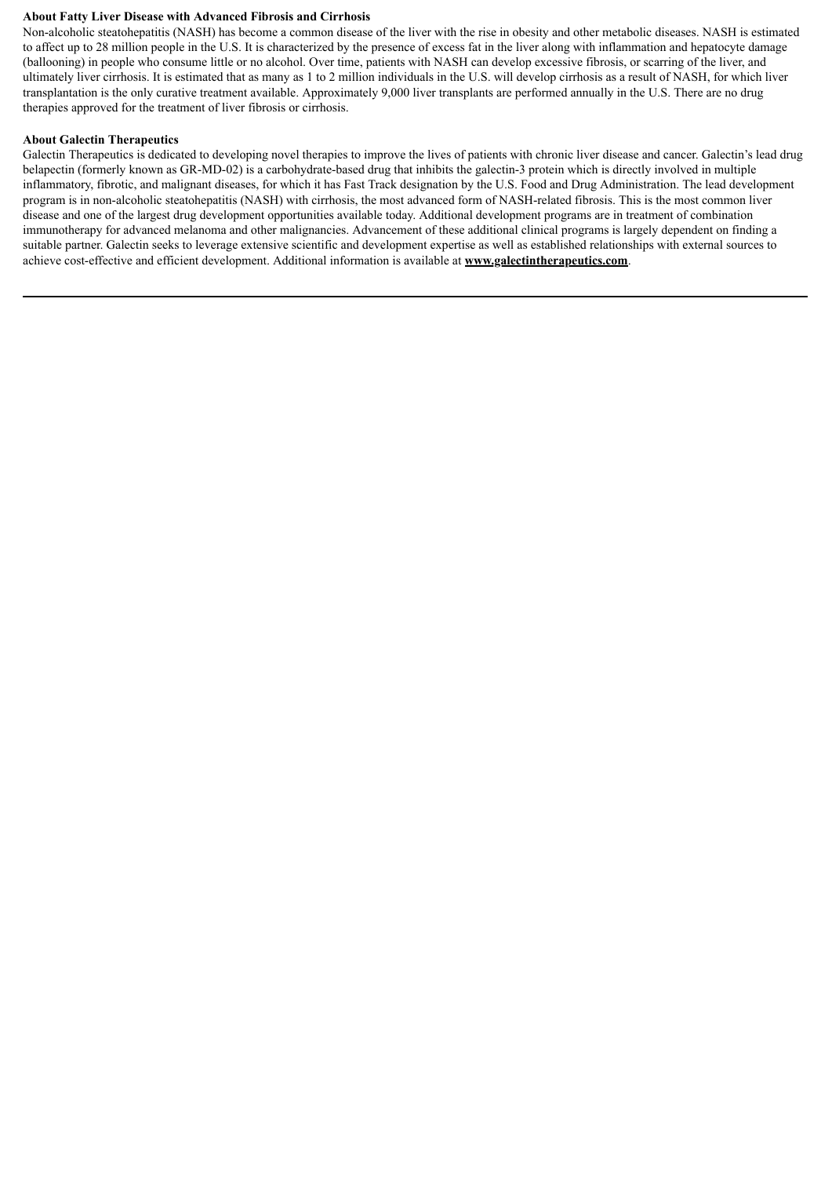#### **About Fatty Liver Disease with Advanced Fibrosis and Cirrhosis**

Non-alcoholic steatohepatitis (NASH) has become a common disease of the liver with the rise in obesity and other metabolic diseases. NASH is estimated to affect up to 28 million people in the U.S. It is characterized by the presence of excess fat in the liver along with inflammation and hepatocyte damage (ballooning) in people who consume little or no alcohol. Over time, patients with NASH can develop excessive fibrosis, or scarring of the liver, and ultimately liver cirrhosis. It is estimated that as many as 1 to 2 million individuals in the U.S. will develop cirrhosis as a result of NASH, for which liver transplantation is the only curative treatment available. Approximately 9,000 liver transplants are performed annually in the U.S. There are no drug therapies approved for the treatment of liver fibrosis or cirrhosis.

#### **About Galectin Therapeutics**

Galectin Therapeutics is dedicated to developing novel therapies to improve the lives of patients with chronic liver disease and cancer. Galectin's lead drug belapectin (formerly known as GR-MD-02) is a carbohydrate-based drug that inhibits the galectin-3 protein which is directly involved in multiple inflammatory, fibrotic, and malignant diseases, for which it has Fast Track designation by the U.S. Food and Drug Administration. The lead development program is in non-alcoholic steatohepatitis (NASH) with cirrhosis, the most advanced form of NASH-related fibrosis. This is the most common liver disease and one of the largest drug development opportunities available today. Additional development programs are in treatment of combination immunotherapy for advanced melanoma and other malignancies. Advancement of these additional clinical programs is largely dependent on finding a suitable partner. Galectin seeks to leverage extensive scientific and development expertise as well as established relationships with external sources to achieve cost-effective and efficient development. Additional information is available at **www.galectintherapeutics.com**.